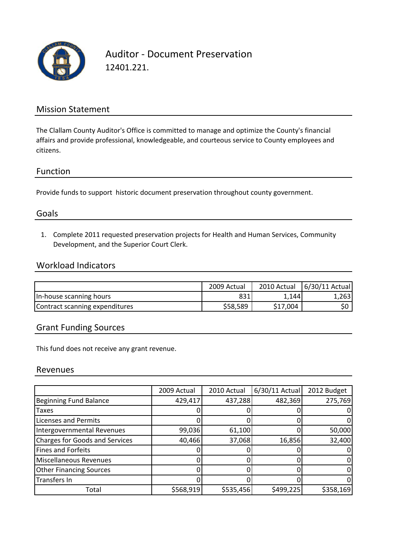

Auditor ‐ Document Preservation 12401.221.

## Mission Statement

The Clallam County Auditor's Office is committed to manage and optimize the County's financial affairs and provide professional, knowledgeable, and courteous service to County employees and citizens.

#### Function

Provide funds to support historic document preservation throughout county government.

## Goals

1. Complete 2011 requested preservation projects for Health and Human Services, Community Development, and the Superior Court Clerk.

## Workload Indicators

|                                | 2009 Actual | 2010 Actual | 6/30/11 Actual |
|--------------------------------|-------------|-------------|----------------|
| In-house scanning hours        | 831         | 1.1441      | 1,263          |
| Contract scanning expenditures | \$58,589    | \$17.004    | S0             |

## Grant Funding Sources

This fund does not receive any grant revenue.

#### Revenues

|                                       | 2009 Actual | 2010 Actual | $6/30/11$ Actual | 2012 Budget |
|---------------------------------------|-------------|-------------|------------------|-------------|
| <b>Beginning Fund Balance</b>         | 429,417     | 437,288     | 482,369          | 275,769     |
| <b>Taxes</b>                          |             |             |                  |             |
| <b>Licenses and Permits</b>           |             |             |                  |             |
| Intergovernmental Revenues            | 99,036      | 61,100      |                  | 50,000      |
| <b>Charges for Goods and Services</b> | 40,466      | 37,068      | 16,856           | 32,400      |
| <b>Fines and Forfeits</b>             |             |             |                  |             |
| Miscellaneous Revenues                |             |             |                  |             |
| <b>Other Financing Sources</b>        |             |             |                  |             |
| Transfers In                          |             |             |                  |             |
| Total                                 | \$568,919   | \$535,456   | \$499,225        | \$358,169   |